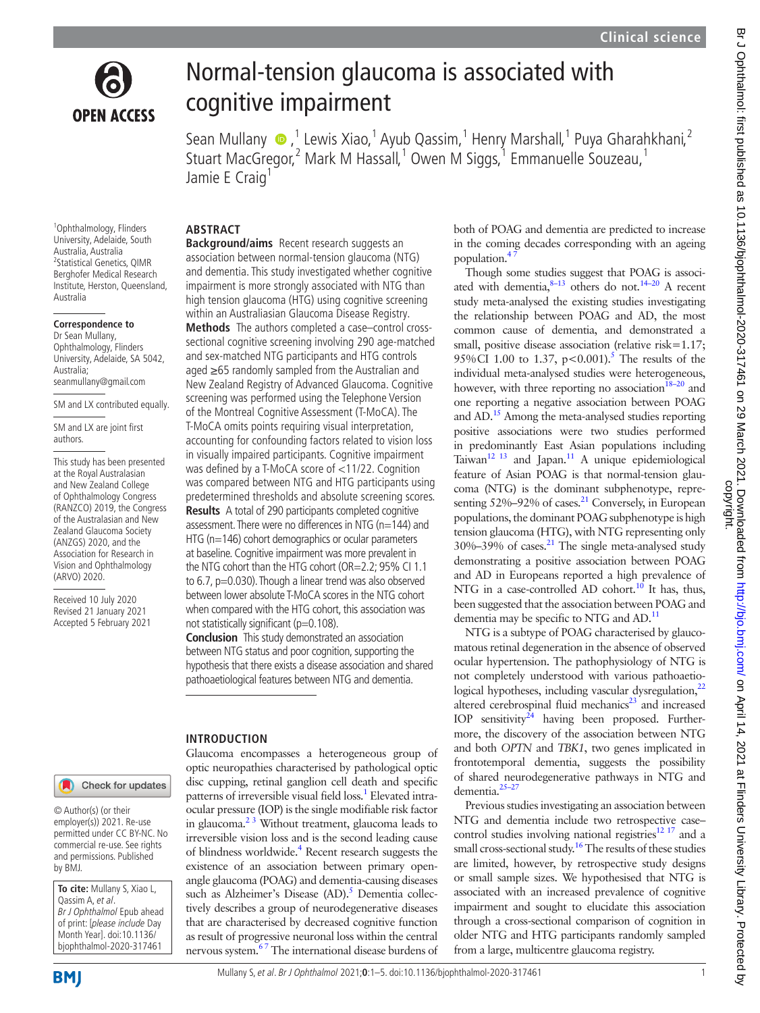

Br Johthalmol: first published as 10.1136/bjophthalmol-2020-317461 on 29 March 2021. Downloaded from/ Downloaded from/ Downloaded from/ Downloaded from/ on April 14, 2021 at Finders University Library. Protected by



# Normal-tension glaucoma is associated with cognitive impairment

SeanMullany  $\bullet$ ,<sup>1</sup> Lewis Xiao,<sup>1</sup> Ayub Qassim,<sup>1</sup> Henry Marshall,<sup>1</sup> Puya Gharahkhani,<sup>2</sup> Stuart MacGregor,<sup>2</sup> Mark M Hassall,<sup>1</sup> Owen M Siggs,<sup>1</sup> Emmanuelle Souzeau,<sup>1</sup> Jamie E Craig<sup>1</sup>

population.<sup>4</sup>

dementia may be specific to NTG and AD.<sup>[11](#page-4-10)</sup>

associated with an increased prevalence of cognitive impairment and sought to elucidate this association through a cross-sectional comparison of cognition in older NTG and HTG participants randomly sampled

from a large, multicentre glaucoma registry.

dementia[.25–27](#page-4-16)

<sup>1</sup>Ophthalmology, Flinders University, Adelaide, South Australia, Australia 2 Statistical Genetics, QIMR Berghofer Medical Research Institute, Herston, Queensland, Australia

### **Correspondence to**

Dr Sean Mullany, Ophthalmology, Flinders University, Adelaide, SA 5042, Australia; seanmullany@gmail.com

SM and LX contributed equally.

SM and LX are joint first authors.

This study has been presented at the Royal Australasian and New Zealand College of Ophthalmology Congress (RANZCO) 2019, the Congress of the Australasian and New Zealand Glaucoma Society (ANZGS) 2020, and the Association for Research in Vision and Ophthalmology (ARVO) 2020.

Received 10 July 2020 Revised 21 January 2021 Accepted 5 February 2021

# **ABSTRACT**

**Background/aims** Recent research suggests an association between normal-tension glaucoma (NTG) and dementia. This study investigated whether cognitive impairment is more strongly associated with NTG than high tension glaucoma (HTG) using cognitive screening within an Australiasian Glaucoma Disease Registry.

**Methods** The authors completed a case–control crosssectional cognitive screening involving 290 age-matched and sex-matched NTG participants and HTG controls aged ≥65 randomly sampled from the Australian and New Zealand Registry of Advanced Glaucoma. Cognitive screening was performed using the Telephone Version of the Montreal Cognitive Assessment (T-MoCA). The T-MoCA omits points requiring visual interpretation, accounting for confounding factors related to vision loss in visually impaired participants. Cognitive impairment was defined by a T-MoCA score of <11/22. Cognition was compared between NTG and HTG participants using predetermined thresholds and absolute screening scores. **Results** A total of 290 participants completed cognitive assessment. There were no differences in NTG (n=144) and HTG (n=146) cohort demographics or ocular parameters at baseline. Cognitive impairment was more prevalent in the NTG cohort than the HTG cohort (OR=2.2; 95% CI 1.1 to 6.7, p=0.030). Though a linear trend was also observed between lower absolute T-MoCA scores in the NTG cohort when compared with the HTG cohort, this association was not statistically significant (p=0.108).

**Conclusion** This study demonstrated an association between NTG status and poor cognition, supporting the hypothesis that there exists a disease association and shared pathoaetiological features between NTG and dementia.

Glaucoma encompasses a heterogeneous group of optic neuropathies characterised by pathological optic disc cupping, retinal ganglion cell death and specific patterns of irreversible visual field loss.<sup>1</sup> Elevated intraocular pressure (IOP) is the single modifiable risk factor in glaucoma. $2<sup>3</sup>$  Without treatment, glaucoma leads to irreversible vision loss and is the second leading cause of blindness worldwide.<sup>[4](#page-4-2)</sup> Recent research suggests the existence of an association between primary openangle glaucoma (POAG) and dementia-causing diseases such as Alzheimer's Disease (AD).<sup>[5](#page-4-3)</sup> Dementia collectively describes a group of neurodegenerative diseases that are characterised by decreased cognitive function as result of progressive neuronal loss within the central nervous system.<sup>67</sup> The international disease burdens of

### **INTRODUCTION**

Check for updates

© Author(s) (or their employer(s)) 2021. Re-use permitted under CC BY-NC. No commercial re-use. See rights and permissions. Published by BMJ.

**To cite:** Mullany S, Xiao L, Qassim A, et al. Br J Ophthalmol Epub ahead of print: [please include Day Month Year]. doi:10.1136/ bjophthalmol-2020-317461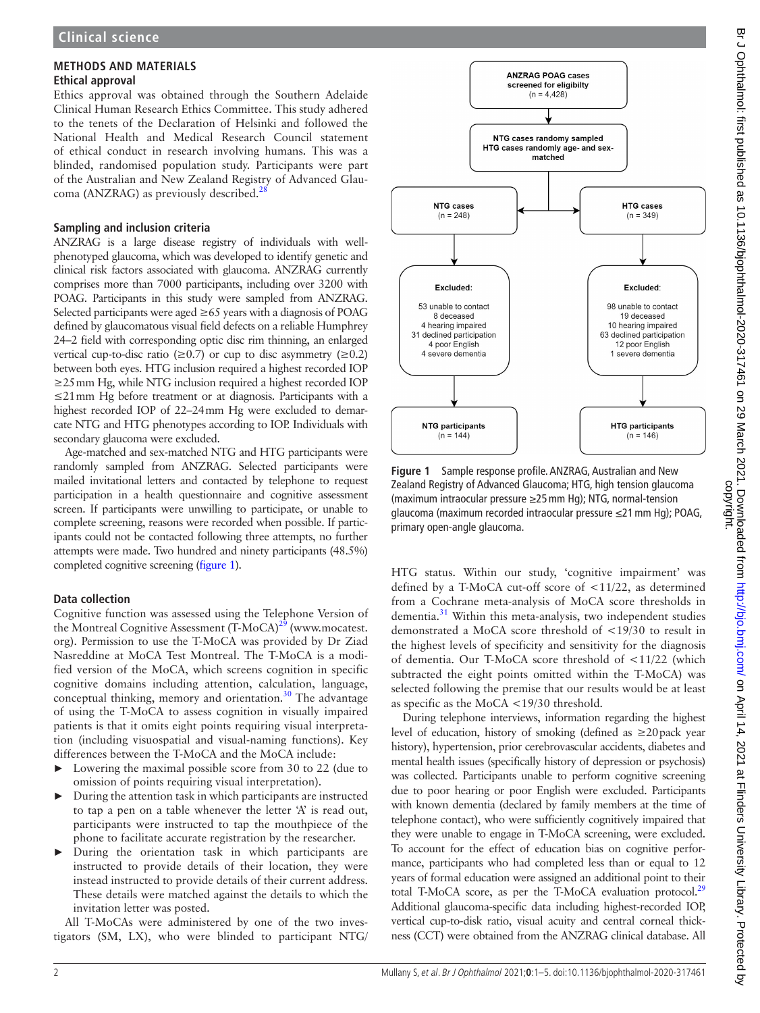### **METHODS AND MATERIALS Ethical approval**

Ethics approval was obtained through the Southern Adelaide Clinical Human Research Ethics Committee. This study adhered to the tenets of the Declaration of Helsinki and followed the National Health and Medical Research Council statement of ethical conduct in research involving humans. This was a blinded, randomised population study. Participants were part of the Australian and New Zealand Registry of Advanced Glaucoma (ANZRAG) as previously described.<sup>28</sup>

# **Sampling and inclusion criteria**

ANZRAG is a large disease registry of individuals with wellphenotyped glaucoma, which was developed to identify genetic and clinical risk factors associated with glaucoma. ANZRAG currently comprises more than 7000 participants, including over 3200 with POAG. Participants in this study were sampled from ANZRAG. Selected participants were aged  $\geq 65$  years with a diagnosis of POAG defined by glaucomatous visual field defects on a reliable Humphrey 24–2 field with corresponding optic disc rim thinning, an enlarged vertical cup-to-disc ratio ( $\geq$ 0.7) or cup to disc asymmetry ( $\geq$ 0.2) between both eyes. HTG inclusion required a highest recorded IOP ≥25mm Hg, while NTG inclusion required a highest recorded IOP ≤21mm Hg before treatment or at diagnosis. Participants with a highest recorded IOP of 22–24mm Hg were excluded to demarcate NTG and HTG phenotypes according to IOP. Individuals with secondary glaucoma were excluded.

Age-matched and sex-matched NTG and HTG participants were randomly sampled from ANZRAG. Selected participants were mailed invitational letters and contacted by telephone to request participation in a health questionnaire and cognitive assessment screen. If participants were unwilling to participate, or unable to complete screening, reasons were recorded when possible. If participants could not be contacted following three attempts, no further attempts were made. Two hundred and ninety participants (48.5%) completed cognitive screening [\(figure](#page-1-0) 1).

# **Data collection**

Cognitive function was assessed using the Telephone Version of the Montreal Cognitive Assessment  $(T-MoCA)^{29}$  $(T-MoCA)^{29}$  $(T-MoCA)^{29}$  [\(www.mocatest.](www.mocatest.org) [org\)](www.mocatest.org). Permission to use the T-MoCA was provided by Dr Ziad Nasreddine at MoCA Test Montreal. The T-MoCA is a modified version of the MoCA, which screens cognition in specific cognitive domains including attention, calculation, language, conceptual thinking, memory and orientation.<sup>30</sup> The advantage of using the T-MoCA to assess cognition in visually impaired patients is that it omits eight points requiring visual interpretation (including visuospatial and visual-naming functions). Key differences between the T-MoCA and the MoCA include:

- Lowering the maximal possible score from 30 to 22 (due to omission of points requiring visual interpretation).
- ► During the attention task in which participants are instructed to tap a pen on a table whenever the letter 'A' is read out, participants were instructed to tap the mouthpiece of the phone to facilitate accurate registration by the researcher.
- During the orientation task in which participants are instructed to provide details of their location, they were instead instructed to provide details of their current address. These details were matched against the details to which the invitation letter was posted.

All T-MoCAs were administered by one of the two investigators (SM, LX), who were blinded to participant NTG/



<span id="page-1-0"></span>**Figure 1** Sample response profile. ANZRAG, Australian and New Zealand Registry of Advanced Glaucoma; HTG, high tension glaucoma (maximum intraocular pressure ≥25mm Hg); NTG, normal-tension glaucoma (maximum recorded intraocular pressure ≤21mm Hg); POAG, primary open-angle glaucoma.

HTG status. Within our study, 'cognitive impairment' was defined by a T-MoCA cut-off score of <11/22, as determined from a Cochrane meta-analysis of MoCA score thresholds in dementia.<sup>[31](#page-4-21)</sup> Within this meta-analysis, two independent studies demonstrated a MoCA score threshold of <19/30 to result in the highest levels of specificity and sensitivity for the diagnosis of dementia. Our T-MoCA score threshold of <11/22 (which subtracted the eight points omitted within the T-MoCA) was selected following the premise that our results would be at least as specific as the MoCA <19/30 threshold.

During telephone interviews, information regarding the highest level of education, history of smoking (defined as  $\geq 20$  pack year history), hypertension, prior cerebrovascular accidents, diabetes and mental health issues (specifically history of depression or psychosis) was collected. Participants unable to perform cognitive screening due to poor hearing or poor English were excluded. Participants with known dementia (declared by family members at the time of telephone contact), who were sufficiently cognitively impaired that they were unable to engage in T-MoCA screening, were excluded. To account for the effect of education bias on cognitive performance, participants who had completed less than or equal to 12 years of formal education were assigned an additional point to their total T-MoCA score, as per the T-MoCA evaluation protocol.<sup>29</sup> Additional glaucoma-specific data including highest-recorded IOP, vertical cup-to-disk ratio, visual acuity and central corneal thickness (CCT) were obtained from the ANZRAG clinical database. All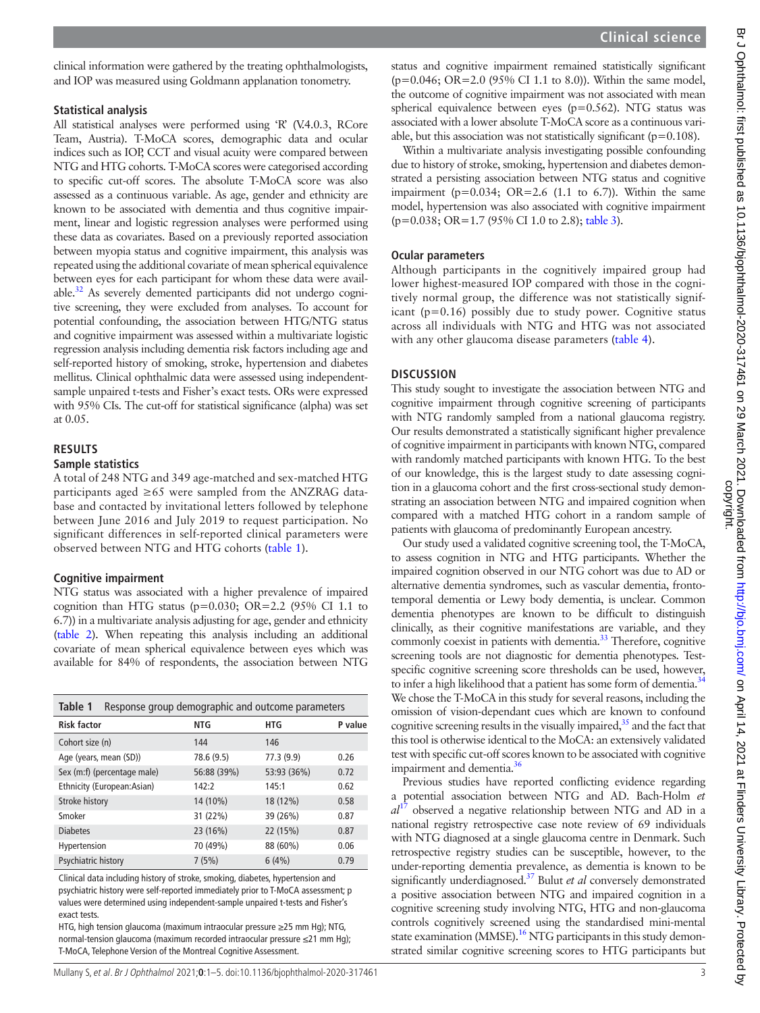clinical information were gathered by the treating ophthalmologists, and IOP was measured using Goldmann applanation tonometry.

### **Statistical analysis**

All statistical analyses were performed using 'R' (V.4.0.3, RCore Team, Austria). T-MoCA scores, demographic data and ocular indices such as IOP, CCT and visual acuity were compared between NTG and HTG cohorts. T-MoCA scores were categorised according to specific cut-off scores. The absolute T-MoCA score was also assessed as a continuous variable. As age, gender and ethnicity are known to be associated with dementia and thus cognitive impairment, linear and logistic regression analyses were performed using these data as covariates. Based on a previously reported association between myopia status and cognitive impairment, this analysis was repeated using the additional covariate of mean spherical equivalence between eyes for each participant for whom these data were available.<sup>32</sup> As severely demented participants did not undergo cognitive screening, they were excluded from analyses. To account for potential confounding, the association between HTG/NTG status and cognitive impairment was assessed within a multivariate logistic regression analysis including dementia risk factors including age and self-reported history of smoking, stroke, hypertension and diabetes mellitus. Clinical ophthalmic data were assessed using independentsample unpaired t-tests and Fisher's exact tests. ORs were expressed with 95% CIs. The cut-off for statistical significance (alpha) was set at 0.05.

# **RESULTS**

## **Sample statistics**

A total of 248 NTG and 349 age-matched and sex-matched HTG participants aged  $\geq 65$  were sampled from the ANZRAG database and contacted by invitational letters followed by telephone between June 2016 and July 2019 to request participation. No significant differences in self-reported clinical parameters were observed between NTG and HTG cohorts [\(table](#page-2-0) 1).

### **Cognitive impairment**

NTG status was associated with a higher prevalence of impaired cognition than HTG status ( $p=0.030$ ; OR=2.2 (95% CI 1.1 to 6.7)) in a multivariate analysis adjusting for age, gender and ethnicity ([table](#page-3-0) 2). When repeating this analysis including an additional covariate of mean spherical equivalence between eyes which was available for 84% of respondents, the association between NTG

<span id="page-2-0"></span>

| Table 1<br>Response group demographic and outcome parameters |             |             |         |  |
|--------------------------------------------------------------|-------------|-------------|---------|--|
| <b>Risk factor</b>                                           | <b>NTG</b>  | <b>HTG</b>  | P value |  |
| Cohort size (n)                                              | 144         | 146         |         |  |
| Age (years, mean (SD))                                       | 78.6 (9.5)  | 77.3 (9.9)  | 0.26    |  |
| Sex (m:f) (percentage male)                                  | 56:88 (39%) | 53:93 (36%) | 0.72    |  |
| Ethnicity (European:Asian)                                   | 142:2       | 145:1       | 0.62    |  |
| Stroke history                                               | 14 (10%)    | 18 (12%)    | 0.58    |  |
| Smoker                                                       | 31 (22%)    | 39 (26%)    | 0.87    |  |
| <b>Diabetes</b>                                              | 23 (16%)    | 22 (15%)    | 0.87    |  |
| Hypertension                                                 | 70 (49%)    | 88 (60%)    | 0.06    |  |
| Psychiatric history                                          | 7(5%)       | 6(4%)       | 0.79    |  |

Clinical data including history of stroke, smoking, diabetes, hypertension and psychiatric history were self-reported immediately prior to T-MoCA assessment; p values were determined using independent-sample unpaired t-tests and Fisher's exact tests.

HTG, high tension glaucoma (maximum intraocular pressure ≥25 mm Hg); NTG, normal-tension glaucoma (maximum recorded intraocular pressure ≤21 mm Hg); T-MoCA, Telephone Version of the Montreal Cognitive Assessment.

status and cognitive impairment remained statistically significant (p=0.046; OR=2.0 (95% CI 1.1 to 8.0)). Within the same model, the outcome of cognitive impairment was not associated with mean spherical equivalence between eyes (p=0.562). NTG status was associated with a lower absolute T-MoCA score as a continuous variable, but this association was not statistically significant ( $p=0.108$ ).

Within a multivariate analysis investigating possible confounding due to history of stroke, smoking, hypertension and diabetes demonstrated a persisting association between NTG status and cognitive impairment ( $p=0.034$ ;  $OR=2.6$  (1.1 to 6.7)). Within the same model, hypertension was also associated with cognitive impairment (p=0.038; OR=1.7 (95% CI 1.0 to 2.8); [table](#page-3-1) 3).

### **Ocular parameters**

Although participants in the cognitively impaired group had lower highest-measured IOP compared with those in the cognitively normal group, the difference was not statistically significant (p=0.16) possibly due to study power. Cognitive status across all individuals with NTG and HTG was not associated with any other glaucoma disease parameters [\(table](#page-3-2) 4).

### **DISCUSSION**

This study sought to investigate the association between NTG and cognitive impairment through cognitive screening of participants with NTG randomly sampled from a national glaucoma registry. Our results demonstrated a statistically significant higher prevalence of cognitive impairment in participants with known NTG, compared with randomly matched participants with known HTG. To the best of our knowledge, this is the largest study to date assessing cognition in a glaucoma cohort and the first cross-sectional study demonstrating an association between NTG and impaired cognition when compared with a matched HTG cohort in a random sample of patients with glaucoma of predominantly European ancestry.

Our study used a validated cognitive screening tool, the T-MoCA, to assess cognition in NTG and HTG participants. Whether the impaired cognition observed in our NTG cohort was due to AD or alternative dementia syndromes, such as vascular dementia, frontotemporal dementia or Lewy body dementia, is unclear. Common dementia phenotypes are known to be difficult to distinguish clinically, as their cognitive manifestations are variable, and they commonly coexist in patients with dementia.<sup>33</sup> Therefore, cognitive screening tools are not diagnostic for dementia phenotypes. Testspecific cognitive screening score thresholds can be used, however, to infer a high likelihood that a patient has some form of dementia.<sup>34</sup> We chose the T-MoCA in this study for several reasons, including the omission of vision-dependant cues which are known to confound cognitive screening results in the visually impaired, $35$  and the fact that this tool is otherwise identical to the MoCA: an extensively validated test with specific cut-off scores known to be associated with cognitive impairment and dementia.<sup>36</sup>

Previous studies have reported conflicting evidence regarding a potential association between NTG and AD. Bach-Holm *et al*[17](#page-4-27) observed a negative relationship between NTG and AD in a national registry retrospective case note review of 69 individuals with NTG diagnosed at a single glaucoma centre in Denmark. Such retrospective registry studies can be susceptible, however, to the under-reporting dementia prevalence, as dementia is known to be significantly underdiagnosed.[37](#page-4-28) Bulut *et al* conversely demonstrated a positive association between NTG and impaired cognition in a cognitive screening study involving NTG, HTG and non-glaucoma controls cognitively screened using the standardised mini-mental state examination (MMSE).<sup>16</sup> NTG participants in this study demonstrated similar cognitive screening scores to HTG participants but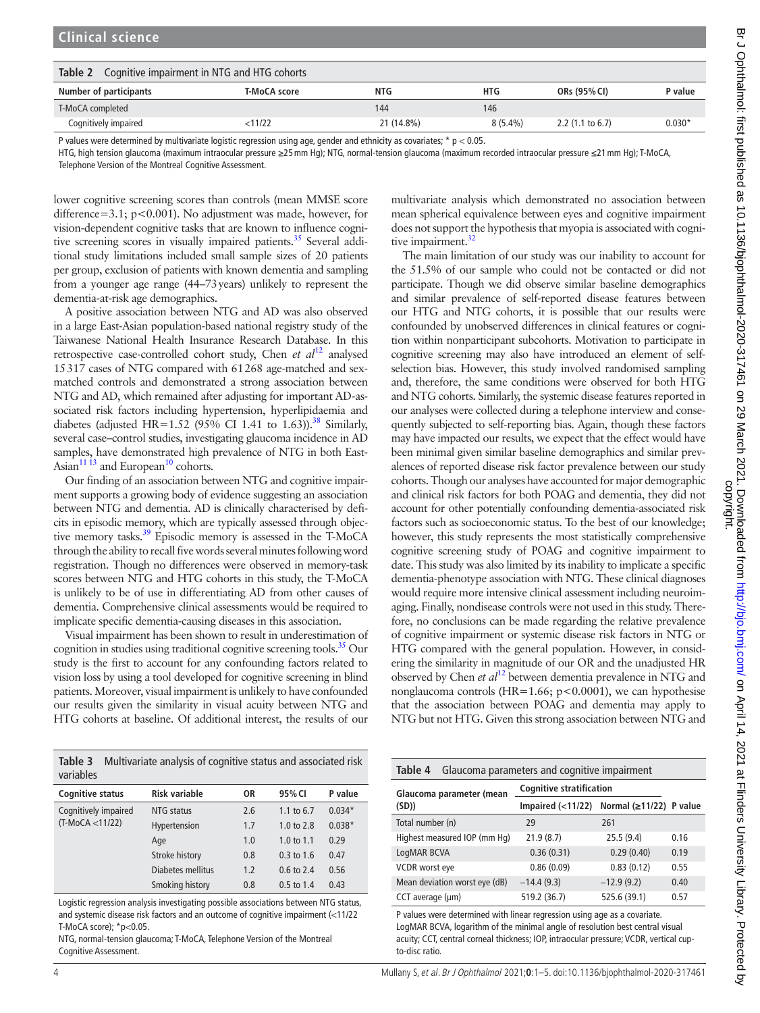<span id="page-3-0"></span>

| Table 2<br>Cognitive impairment in NTG and HTG cohorts |              |            |            |                             |          |
|--------------------------------------------------------|--------------|------------|------------|-----------------------------|----------|
| Number of participants                                 | T-MoCA score | NTG        | <b>HTG</b> | ORs (95% CI)                | P value  |
| T-MoCA completed                                       |              | 144        | 146        |                             |          |
| Cognitively impaired                                   | $<$ 11/22    | 21 (14.8%) | $8(5.4\%)$ | 2.2 $(1.1 \text{ to } 6.7)$ | $0.030*$ |

P values were determined by multivariate logistic regression using age, gender and ethnicity as covariates; \*  $p < 0.05$ .

HTG, high tension glaucoma (maximum intraocular pressure ≥25mm Hg); NTG, normal-tension glaucoma (maximum recorded intraocular pressure ≤21mm Hg); T-MoCA,

Telephone Version of the Montreal Cognitive Assessment.

**Clinical science**

lower cognitive screening scores than controls (mean MMSE score difference=3.1; p<0.001). No adjustment was made, however, for vision-dependent cognitive tasks that are known to influence cognitive screening scores in visually impaired patients.<sup>35</sup> Several additional study limitations included small sample sizes of 20 patients per group, exclusion of patients with known dementia and sampling from a younger age range (44–73years) unlikely to represent the dementia-at-risk age demographics.

A positive association between NTG and AD was also observed in a large East-Asian population-based national registry study of the Taiwanese National Health Insurance Research Database. In this retrospective case-controlled cohort study, Chen *et al*[12](#page-4-9) analysed 15317 cases of NTG compared with 61268 age-matched and sexmatched controls and demonstrated a strong association between NTG and AD, which remained after adjusting for important AD-associated risk factors including hypertension, hyperlipidaemia and diabetes (adjusted HR=1.52 (95% CI 1.41 to 1.63)).<sup>38</sup> Similarly, several case–control studies, investigating glaucoma incidence in AD samples, have demonstrated high prevalence of NTG in both East-Asian $1113$  and European<sup>10</sup> cohorts.

Our finding of an association between NTG and cognitive impairment supports a growing body of evidence suggesting an association between NTG and dementia. AD is clinically characterised by deficits in episodic memory, which are typically assessed through objective memory tasks.<sup>39</sup> Episodic memory is assessed in the T-MoCA through the ability to recall five words several minutes following word registration. Though no differences were observed in memory-task scores between NTG and HTG cohorts in this study, the T-MoCA is unlikely to be of use in differentiating AD from other causes of dementia. Comprehensive clinical assessments would be required to implicate specific dementia-causing diseases in this association.

Visual impairment has been shown to result in underestimation of cognition in studies using traditional cognitive screening tools.<sup>35</sup> Our study is the first to account for any confounding factors related to vision loss by using a tool developed for cognitive screening in blind patients. Moreover, visual impairment is unlikely to have confounded our results given the similarity in visual acuity between NTG and HTG cohorts at baseline. Of additional interest, the results of our

<span id="page-3-1"></span>**Table 3** Multivariate analysis of cognitive status and associated risk variables

| <b>Cognitive status</b>                    | Risk variable     | 0R  | 95% CI                | P value  |
|--------------------------------------------|-------------------|-----|-----------------------|----------|
| Cognitively impaired<br>$(T-MoCA < 11/22)$ | NTG status        | 2.6 | 1.1 to 6.7            | $0.034*$ |
|                                            | Hypertension      | 1.7 | 1.0 to $2.8$          | $0.038*$ |
|                                            | Age               | 1.0 | 1.0 to $1.1$          | 0.29     |
|                                            | Stroke history    | 0.8 | $0.3$ to 1.6          | 0.47     |
|                                            | Diabetes mellitus | 1.2 | $0.6 \text{ to } 2.4$ | 0.56     |
|                                            | Smoking history   | 0.8 | $0.5 \text{ to } 1.4$ | 0.43     |

Logistic regression analysis investigating possible associations between NTG status, and systemic disease risk factors and an outcome of cognitive impairment (<11/22 T-MoCA score); \*p<0.05.

NTG, normal-tension glaucoma; T-MoCA, Telephone Version of the Montreal Cognitive Assessment.

multivariate analysis which demonstrated no association between mean spherical equivalence between eyes and cognitive impairment does not support the hypothesis that myopia is associated with cogni-tive impairment.<sup>[32](#page-4-22)</sup>

The main limitation of our study was our inability to account for the 51.5% of our sample who could not be contacted or did not participate. Though we did observe similar baseline demographics and similar prevalence of self-reported disease features between our HTG and NTG cohorts, it is possible that our results were confounded by unobserved differences in clinical features or cognition within nonparticipant subcohorts. Motivation to participate in cognitive screening may also have introduced an element of selfselection bias. However, this study involved randomised sampling and, therefore, the same conditions were observed for both HTG and NTG cohorts. Similarly, the systemic disease features reported in our analyses were collected during a telephone interview and consequently subjected to self-reporting bias. Again, though these factors may have impacted our results, we expect that the effect would have been minimal given similar baseline demographics and similar prevalences of reported disease risk factor prevalence between our study cohorts. Though our analyses have accounted for major demographic and clinical risk factors for both POAG and dementia, they did not account for other potentially confounding dementia-associated risk factors such as socioeconomic status. To the best of our knowledge; however, this study represents the most statistically comprehensive cognitive screening study of POAG and cognitive impairment to date. This study was also limited by its inability to implicate a specific dementia-phenotype association with NTG. These clinical diagnoses would require more intensive clinical assessment including neuroimaging. Finally, nondisease controls were not used in this study. Therefore, no conclusions can be made regarding the relative prevalence of cognitive impairment or systemic disease risk factors in NTG or HTG compared with the general population. However, in considering the similarity in magnitude of our OR and the unadjusted HR observed by Chen *et al*[12](#page-4-9) between dementia prevalence in NTG and nonglaucoma controls (HR=1.66; p<0.0001), we can hypothesise that the association between POAG and dementia may apply to NTG but not HTG. Given this strong association between NTG and

<span id="page-3-2"></span>

| Table 4<br>Glaucoma parameters and cognitive impairment |                                           |              |      |  |
|---------------------------------------------------------|-------------------------------------------|--------------|------|--|
| Glaucoma parameter (mean<br>(SD)                        | <b>Cognitive stratification</b>           |              |      |  |
|                                                         | Impaired (<11/22) Normal (≥11/22) P value |              |      |  |
| Total number (n)                                        | 29                                        | 261          |      |  |
| Highest measured IOP (mm Hg)                            | 21.9(8.7)                                 | 25.5(9.4)    | 0.16 |  |
| LogMAR BCVA                                             | 0.36(0.31)                                | 0.29(0.40)   | 0.19 |  |
| VCDR worst eye                                          | 0.86(0.09)                                | 0.83(0.12)   | 0.55 |  |
| Mean deviation worst eye (dB)                           | $-14.4(9.3)$                              | $-12.9(9.2)$ | 0.40 |  |
| CCT average (µm)                                        | 519.2 (36.7)                              | 525.6 (39.1) | 0.57 |  |

P values were determined with linear regression using age as a covariate. LogMAR BCVA, logarithm of the minimal angle of resolution best central visual acuity; CCT, central corneal thickness; IOP, intraocular pressure; VCDR, vertical cupto-disc ratio.